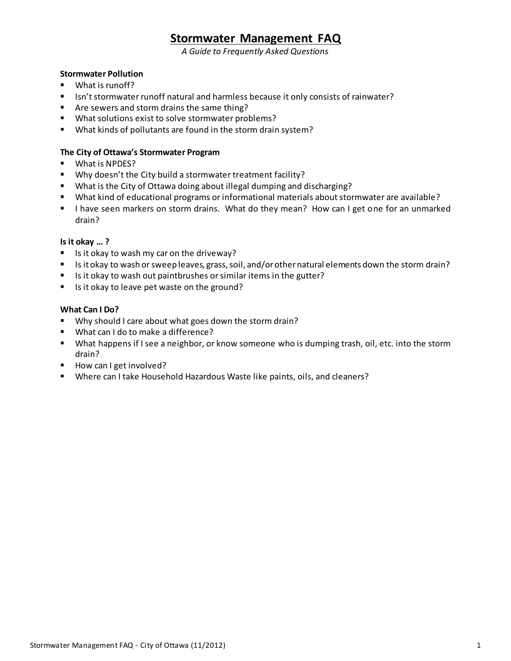# **Stormwater Management FAQ**

*A Guide to Frequently Asked Questions*

# **Stormwater Pollution**

- **U** What is runoff?
- Isn't stormwater runoff natural and harmless because it only consists of rainwater?
- **F** Are sewers and storm drains the same thing?
- What solutions exist to solve stormwater problems?
- What kinds of pollutants are found in the storm drain system?

### **The City of Ottawa's Stormwater Program**

- **What is NPDES?**
- Why doesn't the City build a stormwater treatment facility?
- What is the City of Ottawa doing about illegal dumping and discharging?
- What kind of educational programs or informational materials about stormwater are available?
- I lhave seen markers on storm drains. What do they mean? How can I get one for an unmarked drain?

## **Is it okay … ?**

- $\blacksquare$  Is it okay to wash my car on the driveway?
- Is it okay to wash or sweep leaves, grass, soil, and/or other natural elements down the storm drain?
- Is it okay to wash out paintbrushes or similar items in the gutter?
- Is it okay to leave pet waste on the ground?

## **What Can I Do?**

- Why should I care about what goes down the storm drain?
- **What can I do to make a difference?**
- What happens if I see a neighbor, or know someone who is dumping trash, oil, etc. into the storm drain?
- How can I get involved?
- **Where can I take Household Hazardous Waste like paints, oils, and cleaners?**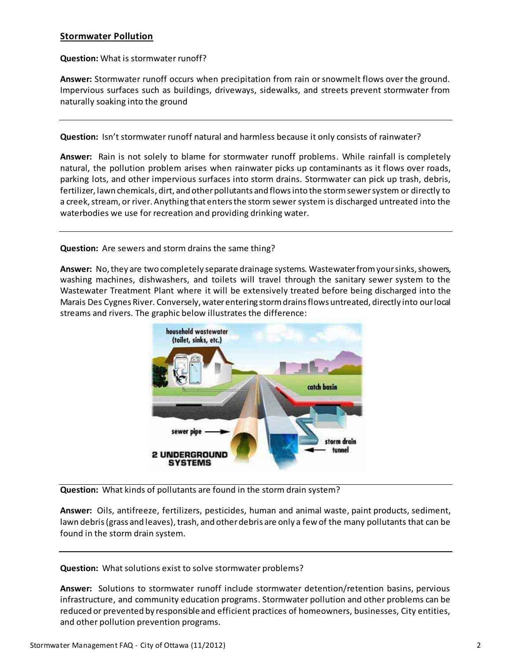## **Stormwater Pollution**

#### **Question:** What is stormwater runoff?

**Answer:** Stormwater runoff occurs when precipitation from rain or snowmelt flows over the ground. Impervious surfaces such as buildings, driveways, sidewalks, and streets prevent stormwater from naturally soaking into the ground

**Question:** Isn't stormwater runoff natural and harmless because it only consists of rainwater?

**Answer:** Rain is not solely to blame for stormwater runoff problems. While rainfall is completely natural, the pollution problem arises when rainwater picks up contaminants as it flows over roads, parking lots, and other impervious surfaces into storm drains. Stormwater can pick up trash, debris, fertilizer, lawn chemicals, dirt, and other pollutants and flows into the storm sewer system or directly to a creek, stream, or river. Anything that enters the storm sewer system is discharged untreated into the waterbodies we use for recreation and providing drinking water.

#### **Question:** Are sewers and storm drains the same thing?

**Answer:** No, they are two completely separate drainage systems. Wastewater from your sinks, showers, washing machines, dishwashers, and toilets will travel through the sanitary sewer system to the Wastewater Treatment Plant where it will be extensively treated before being discharged into the Marais Des Cygnes River. Conversely, water entering storm drains flows untreated, directly into our local streams and rivers. The graphic below illustrates the difference:



**Question:** What kinds of pollutants are found in the storm drain system?

**Answer:** Oils, antifreeze, fertilizers, pesticides, human and animal waste, paint products, sediment, lawn debris (grass and leaves), trash, and other debris are only a few of the many pollutants that can be found in the storm drain system.

**Question:** What solutions exist to solve stormwater problems?

**Answer:** Solutions to stormwater runoff include stormwater detention/retention basins, pervious infrastructure, and community education programs. Stormwater pollution and other problems can be reduced or prevented by responsible and efficient practices of homeowners, businesses, City entities, and other pollution prevention programs.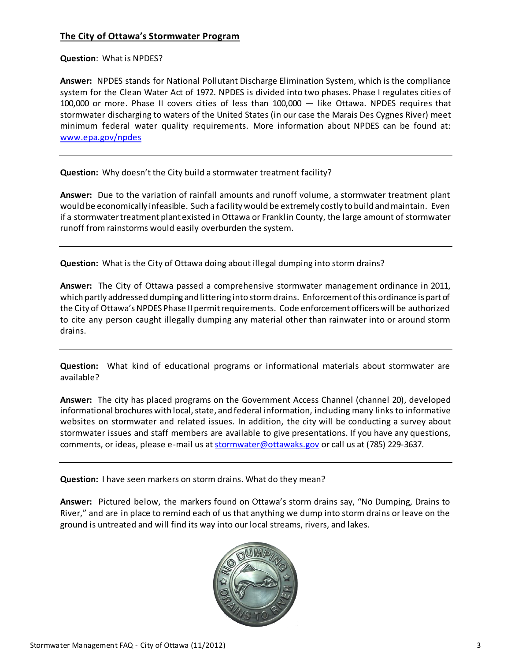# **The City of Ottawa's Stormwater Program**

## **Question**:What is NPDES?

**Answer:** NPDES stands for National Pollutant Discharge Elimination System, which is the compliance system for the Clean Water Act of 1972. NPDES is divided into two phases. Phase I regulates cities of 100,000 or more. Phase II covers cities of less than 100,000 ― like Ottawa. NPDES requires that stormwater discharging to waters of the United States (in our case the Marais Des Cygnes River) meet minimum federal water quality requirements. More information about NPDES can be found at: [www.epa.gov/npdes](http://www.epa.gov/npdes)

**Question:** Why doesn't the City build a stormwater treatment facility?

**Answer:** Due to the variation of rainfall amounts and runoff volume, a stormwater treatment plant would be economically infeasible. Such a facility would be extremely costly to build and maintain. Even if a stormwater treatment plant existed in Ottawa or Franklin County, the large amount of stormwater runoff from rainstorms would easily overburden the system.

**Question:** What is the City of Ottawa doing about illegal dumping into storm drains?

**Answer:** The City of Ottawa passed a comprehensive stormwater management ordinance in 2011, which partly addressed dumping and littering into storm drains. Enforcement of this ordinance is part of the City of Ottawa's NPDES Phase II permit requirements. Code enforcement officers will be authorized to cite any person caught illegally dumping any material other than rainwater into or around storm drains.

**Question:** What kind of educational programs or informational materials about stormwater are available?

**Answer:** The city has placed programs on the Government Access Channel (channel 20), developed informational brochures with local, state, and federal information, including many links to informative websites on stormwater and related issues. In addition, the city will be conducting a survey about stormwater issues and staff members are available to give presentations. If you have any questions, comments, or ideas, please e-mail us [at stormwater@ottawaks.go](mailto:stormwater@ottawaks.gov)v or call us at (785) 229-3637.

**Question:** I have seen markers on storm drains. What do they mean?

**Answer:** Pictured below, the markers found on Ottawa's storm drains say, "No Dumping, Drains to River," and are in place to remind each of us that anything we dump into storm drains or leave on the ground is untreated and will find its way into our local streams, rivers, and lakes.

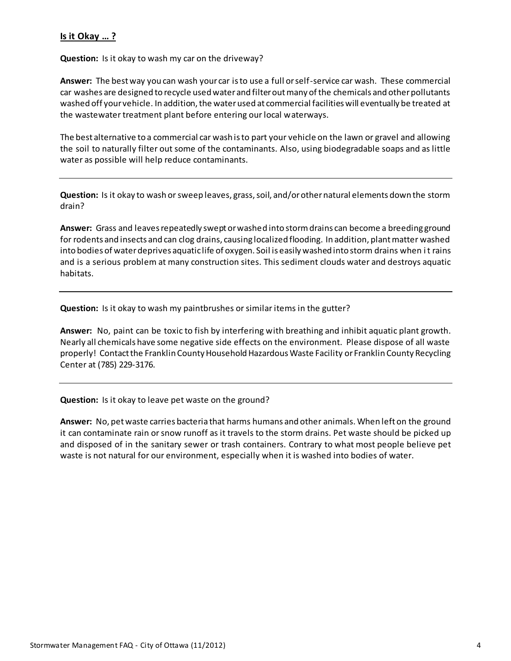# **Is it Okay … ?**

**Question:** Is it okay to wash my car on the driveway?

**Answer:** The best way you can wash your car is to use a full or self-service car wash. These commercial car washes are designed to recycle used water and filter out many of the chemicals and other pollutants washed off your vehicle. In addition, the water used at commercial facilities will eventually be treated at the wastewater treatment plant before entering our local waterways.

The best alternative to a commercial car wash is to part your vehicle on the lawn or gravel and allowing the soil to naturally filter out some of the contaminants. Also, using biodegradable soaps and as little water as possible will help reduce contaminants.

**Question:** Is it okay to wash or sweep leaves, grass, soil, and/or other natural elements down the storm drain?

**Answer:** Grass and leaves repeatedly swept or washed into storm drains can become a breeding ground for rodents and insects and can clog drains, causing localized flooding. In addition, plant matter washed into bodies of water deprives aquatic life of oxygen. Soil is easily washed into storm drains when it rains and is a serious problem at many construction sites. This sediment clouds water and destroys aquatic habitats.

**Question:** Is it okay to wash my paintbrushes or similar items in the gutter?

**Answer:** No, paint can be toxic to fish by interfering with breathing and inhibit aquatic plant growth. Nearly all chemicals have some negative side effects on the environment. Please dispose of all waste properly! Contact the Franklin County Household Hazardous Waste Facility or Franklin County Recycling Center at (785) 229-3176.

**Question:** Is it okay to leave pet waste on the ground?

**Answer:** No, petwaste carries bacteria that harms humans and other animals. When left on the ground it can contaminate rain orsnow runoff as it travels to the storm drains. Pet waste should be picked up and disposed of in the sanitary sewer or trash containers. Contrary to what most people believe pet waste is not natural for our environment, especially when it is washed into bodies of water.